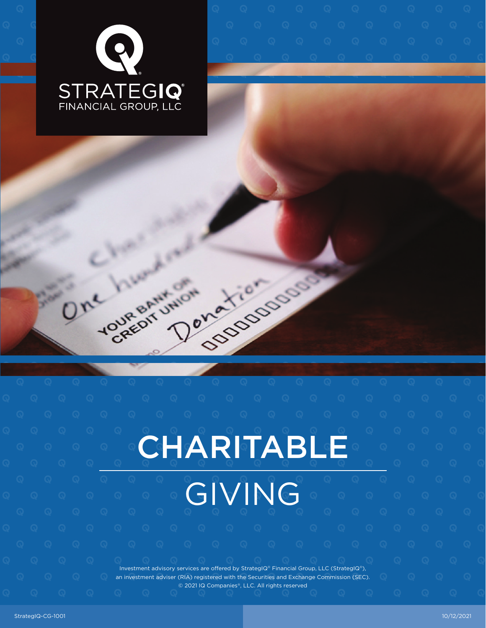

| One | YOUR BANY ON | <b>SOODSOODS</b><br>Donation |  |
|-----|--------------|------------------------------|--|
|     |              |                              |  |

|  |  |  |  |  |  |                                                                                                                                                                                        |  |  | $\Theta$ and $\Theta$ and $\Theta$ and $\Theta$ and $\Theta$ and $\Theta$ and $\Theta$ and $\Theta$ and $\Theta$ and $\Theta$ and $\Theta$ and $\Theta$ and $\Theta$ and $\Theta$ and $\Theta$ and $\Theta$ and $\Theta$ and $\Theta$ and $\Theta$ and $\Theta$ and $\Theta$ and $\Theta$ and $\Theta$ and $\Theta$ and $\Theta$ | $\sim$ (a) |  |  |  |  |  |  |  |
|--|--|--|--|--|--|----------------------------------------------------------------------------------------------------------------------------------------------------------------------------------------|--|--|----------------------------------------------------------------------------------------------------------------------------------------------------------------------------------------------------------------------------------------------------------------------------------------------------------------------------------|------------|--|--|--|--|--|--|--|
|  |  |  |  |  |  |                                                                                                                                                                                        |  |  |                                                                                                                                                                                                                                                                                                                                  |            |  |  |  |  |  |  |  |
|  |  |  |  |  |  |                                                                                                                                                                                        |  |  |                                                                                                                                                                                                                                                                                                                                  |            |  |  |  |  |  |  |  |
|  |  |  |  |  |  |                                                                                                                                                                                        |  |  |                                                                                                                                                                                                                                                                                                                                  |            |  |  |  |  |  |  |  |
|  |  |  |  |  |  | CHARITABLE                                                                                                                                                                             |  |  |                                                                                                                                                                                                                                                                                                                                  |            |  |  |  |  |  |  |  |
|  |  |  |  |  |  |                                                                                                                                                                                        |  |  |                                                                                                                                                                                                                                                                                                                                  |            |  |  |  |  |  |  |  |
|  |  |  |  |  |  |                                                                                                                                                                                        |  |  |                                                                                                                                                                                                                                                                                                                                  |            |  |  |  |  |  |  |  |
|  |  |  |  |  |  | GIVING                                                                                                                                                                                 |  |  |                                                                                                                                                                                                                                                                                                                                  |            |  |  |  |  |  |  |  |
|  |  |  |  |  |  |                                                                                                                                                                                        |  |  |                                                                                                                                                                                                                                                                                                                                  |            |  |  |  |  |  |  |  |
|  |  |  |  |  |  |                                                                                                                                                                                        |  |  |                                                                                                                                                                                                                                                                                                                                  |            |  |  |  |  |  |  |  |
|  |  |  |  |  |  |                                                                                                                                                                                        |  |  |                                                                                                                                                                                                                                                                                                                                  |            |  |  |  |  |  |  |  |
|  |  |  |  |  |  |                                                                                                                                                                                        |  |  |                                                                                                                                                                                                                                                                                                                                  |            |  |  |  |  |  |  |  |
|  |  |  |  |  |  | Investment advisory services are offered by StrategIQ® Financial Group, LLC (StrategIQ®),<br>an investment adviser (RIA) registered with the Securities and Exchange Commission (SEC). |  |  |                                                                                                                                                                                                                                                                                                                                  |            |  |  |  |  |  |  |  |
|  |  |  |  |  |  | © 2021 IQ Companies®, LLC. All rights reserved                                                                                                                                         |  |  |                                                                                                                                                                                                                                                                                                                                  |            |  |  |  |  |  |  |  |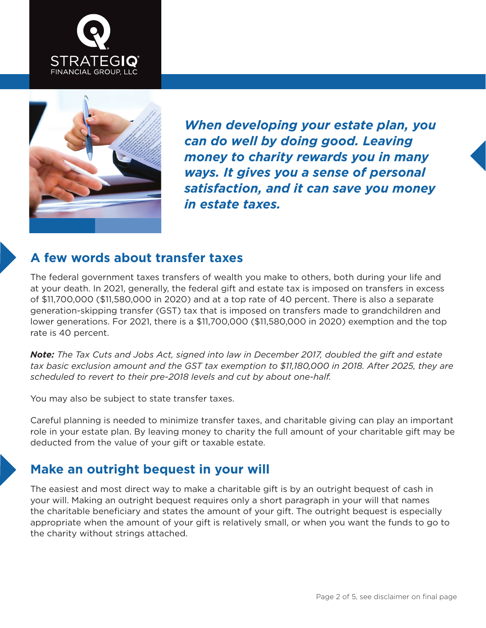



*When developing your estate plan, you can do well by doing good. Leaving money to charity rewards you in many ways. It gives you a sense of personal satisfaction, and it can save you money in estate taxes.*

#### **A few words about transfer taxes**

The federal government taxes transfers of wealth you make to others, both during your life and at your death. In 2021, generally, the federal gift and estate tax is imposed on transfers in excess of \$11,700,000 (\$11,580,000 in 2020) and at a top rate of 40 percent. There is also a separate generation-skipping transfer (GST) tax that is imposed on transfers made to grandchildren and lower generations. For 2021, there is a \$11,700,000 (\$11,580,000 in 2020) exemption and the top rate is 40 percent.

*Note: The Tax Cuts and Jobs Act, signed into law in December 2017, doubled the gift and estate tax basic exclusion amount and the GST tax exemption to \$11,180,000 in 2018. After 2025, they are scheduled to revert to their pre-2018 levels and cut by about one-half.*

You may also be subject to state transfer taxes.

Careful planning is needed to minimize transfer taxes, and charitable giving can play an important role in your estate plan. By leaving money to charity the full amount of your charitable gift may be deducted from the value of your gift or taxable estate.

#### **Make an outright bequest in your will**

The easiest and most direct way to make a charitable gift is by an outright bequest of cash in your will. Making an outright bequest requires only a short paragraph in your will that names the charitable beneficiary and states the amount of your gift. The outright bequest is especially appropriate when the amount of your gift is relatively small, or when you want the funds to go to the charity without strings attached.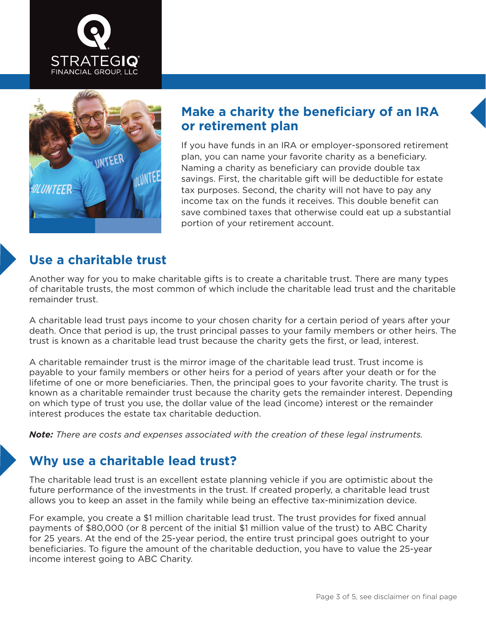



### **Make a charity the beneficiary of an IRA or retirement plan**

If you have funds in an IRA or employer-sponsored retirement plan, you can name your favorite charity as a beneficiary. Naming a charity as beneficiary can provide double tax savings. First, the charitable gift will be deductible for estate tax purposes. Second, the charity will not have to pay any income tax on the funds it receives. This double benefit can save combined taxes that otherwise could eat up a substantial portion of your retirement account.

## **Use a charitable trust**

Another way for you to make charitable gifts is to create a charitable trust. There are many types of charitable trusts, the most common of which include the charitable lead trust and the charitable remainder trust.

A charitable lead trust pays income to your chosen charity for a certain period of years after your death. Once that period is up, the trust principal passes to your family members or other heirs. The trust is known as a charitable lead trust because the charity gets the first, or lead, interest.

A charitable remainder trust is the mirror image of the charitable lead trust. Trust income is payable to your family members or other heirs for a period of years after your death or for the lifetime of one or more beneficiaries. Then, the principal goes to your favorite charity. The trust is known as a charitable remainder trust because the charity gets the remainder interest. Depending on which type of trust you use, the dollar value of the lead (income) interest or the remainder interest produces the estate tax charitable deduction.

*Note: There are costs and expenses associated with the creation of these legal instruments.*

# **Why use a charitable lead trust?**

The charitable lead trust is an excellent estate planning vehicle if you are optimistic about the future performance of the investments in the trust. If created properly, a charitable lead trust allows you to keep an asset in the family while being an effective tax-minimization device.

For example, you create a \$1 million charitable lead trust. The trust provides for fixed annual payments of \$80,000 (or 8 percent of the initial \$1 million value of the trust) to ABC Charity for 25 years. At the end of the 25-year period, the entire trust principal goes outright to your beneficiaries. To figure the amount of the charitable deduction, you have to value the 25-year income interest going to ABC Charity.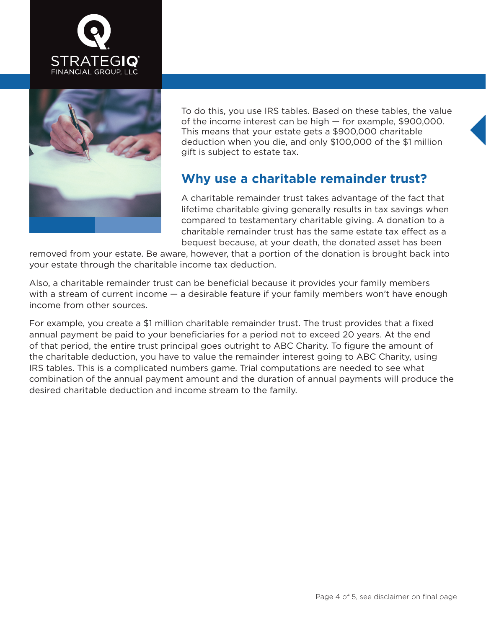



To do this, you use IRS tables. Based on these tables, the value of the income interest can be high — for example, \$900,000. This means that your estate gets a \$900,000 charitable deduction when you die, and only \$100,000 of the \$1 million gift is subject to estate tax.

### **Why use a charitable remainder trust?**

A charitable remainder trust takes advantage of the fact that lifetime charitable giving generally results in tax savings when compared to testamentary charitable giving. A donation to a charitable remainder trust has the same estate tax effect as a bequest because, at your death, the donated asset has been

removed from your estate. Be aware, however, that a portion of the donation is brought back into your estate through the charitable income tax deduction.

Also, a charitable remainder trust can be beneficial because it provides your family members with a stream of current income — a desirable feature if your family members won't have enough income from other sources.

For example, you create a \$1 million charitable remainder trust. The trust provides that a fixed annual payment be paid to your beneficiaries for a period not to exceed 20 years. At the end of that period, the entire trust principal goes outright to ABC Charity. To figure the amount of the charitable deduction, you have to value the remainder interest going to ABC Charity, using IRS tables. This is a complicated numbers game. Trial computations are needed to see what combination of the annual payment amount and the duration of annual payments will produce the desired charitable deduction and income stream to the family.